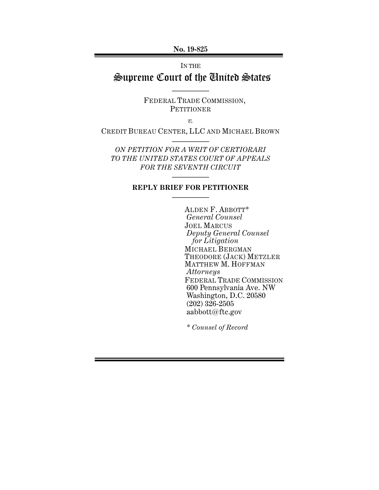**No. 19-825** 

# IN THE Supreme Court of the United States

—————

FEDERAL TRADE COMMISSION, **PETITIONER** 

*v.*

CREDIT BUREAU CENTER, LLC AND MICHAEL BROWN —————

*ON PETITION FOR A WRIT OF CERTIORARI TO THE UNITED STATES COURT OF APPEALS FOR THE SEVENTH CIRCUIT* 

### ————— **REPLY BRIEF FOR PETITIONER**  —————

ALDEN F. ABBOTT\* *General Counsel*  JOEL MARCUS *Deputy General Counsel for Litigation*  MICHAEL BERGMAN THEODORE (JACK) METZLER MATTHEW M. HOFFMAN *Attorneys*  FEDERAL TRADE COMMISSION 600 Pennsylvania Ave. NW Washington, D.C. 20580 (202) 326-2505 aabbott@ftc.gov

*\* Counsel of Record*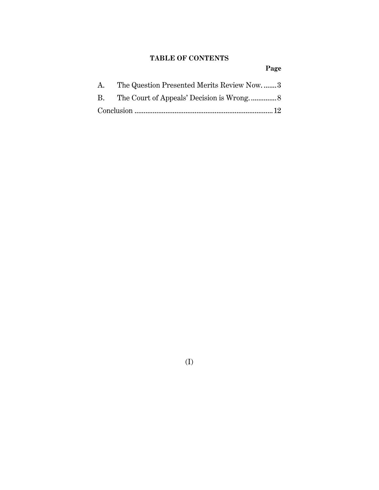## **TABLE OF CONTENTS**

**Page**

| A. The Question Presented Merits Review Now3 |  |
|----------------------------------------------|--|
|                                              |  |
|                                              |  |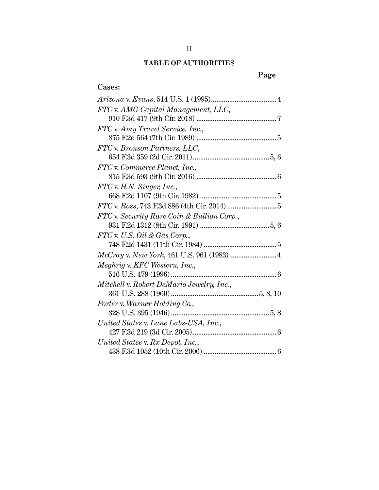## **TABLE OF AUTHORITIES**

# **Page**

## **Cases:**

| FTC v. AMG Capital Management, LLC,        |
|--------------------------------------------|
|                                            |
| FTC v. Amy Travel Service, Inc.,           |
|                                            |
| FTC v. Bronson Partners, LLC,              |
|                                            |
| FTC v. Commerce Planet, Inc.,              |
|                                            |
| $FTC$ v. H.N. Singer, Inc.,                |
|                                            |
|                                            |
| FTC v. Security Rare Coin & Bullion Corp., |
|                                            |
| FTC v. U.S. Oil & Gas Corp.,               |
|                                            |
|                                            |
| Meghrig v. KFC Western, Inc.,              |
|                                            |
| Mitchell v. Robert DeMario Jewelry, Inc.,  |
|                                            |
| Porter v. Warner Holding Co.,              |
|                                            |
| United States v. Lane Labs-USA, Inc.,      |
|                                            |
| United States v. Rx Depot, Inc.,           |
|                                            |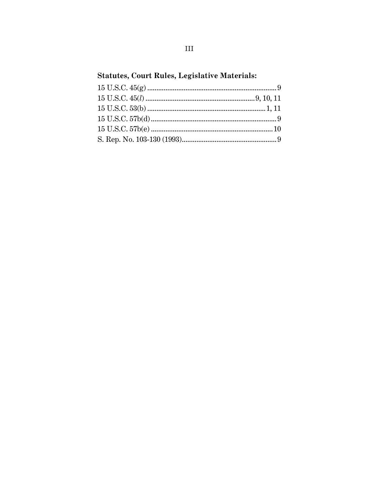# **Statutes, Court Rules, Legislative Materials:**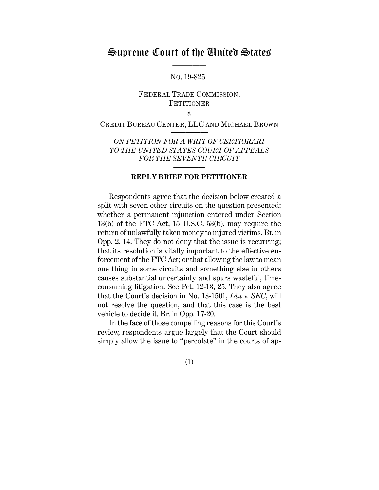# Supreme Court of the United States

—————

NO. 19-825

### FEDERAL TRADE COMMISSION, **PETITIONER**

*v.* 

#### CREDIT BUREAU CENTER, LLC AND MICHAEL BROWN —————

### *ON PETITION FOR A WRIT OF CERTIORARI TO THE UNITED STATES COURT OF APPEALS FOR THE SEVENTH CIRCUIT*

### *—————* **REPLY BRIEF FOR PETITIONER**  —————

Respondents agree that the decision below created a split with seven other circuits on the question presented: whether a permanent injunction entered under Section 13(b) of the FTC Act, 15 U.S.C. 53(b), may require the return of unlawfully taken money to injured victims. Br. in Opp. 2, 14. They do not deny that the issue is recurring; that its resolution is vitally important to the effective enforcement of the FTC Act; or that allowing the law to mean one thing in some circuits and something else in others causes substantial uncertainty and spurs wasteful, timeconsuming litigation. See Pet. 12-13, 25. They also agree that the Court's decision in No. 18-1501, *Liu* v. *SEC*, will not resolve the question, and that this case is the best vehicle to decide it. Br. in Opp. 17-20.

In the face of those compelling reasons for this Court's review, respondents argue largely that the Court should simply allow the issue to "percolate" in the courts of ap-

(1)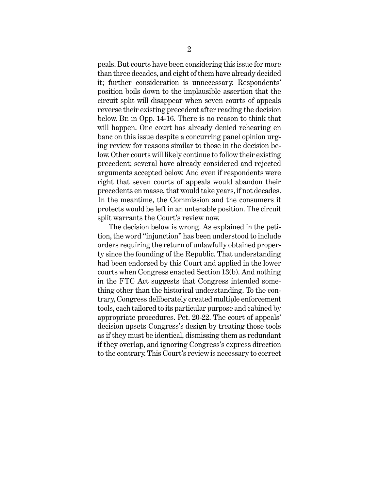peals. But courts have been considering this issue for more than three decades, and eight of them have already decided it; further consideration is unnecessary. Respondents' position boils down to the implausible assertion that the circuit split will disappear when seven courts of appeals reverse their existing precedent after reading the decision below. Br. in Opp. 14-16. There is no reason to think that will happen. One court has already denied rehearing en banc on this issue despite a concurring panel opinion urging review for reasons similar to those in the decision below. Other courts will likely continue to follow their existing precedent; several have already considered and rejected arguments accepted below. And even if respondents were right that seven courts of appeals would abandon their precedents en masse, that would take years, if not decades. In the meantime, the Commission and the consumers it protects would be left in an untenable position. The circuit split warrants the Court's review now.

The decision below is wrong. As explained in the petition, the word "injunction" has been understood to include orders requiring the return of unlawfully obtained property since the founding of the Republic. That understanding had been endorsed by this Court and applied in the lower courts when Congress enacted Section 13(b). And nothing in the FTC Act suggests that Congress intended something other than the historical understanding. To the contrary, Congress deliberately created multiple enforcement tools, each tailored to its particular purpose and cabined by appropriate procedures. Pet. 20-22. The court of appeals' decision upsets Congress's design by treating those tools as if they must be identical, dismissing them as redundant if they overlap, and ignoring Congress's express direction to the contrary. This Court's review is necessary to correct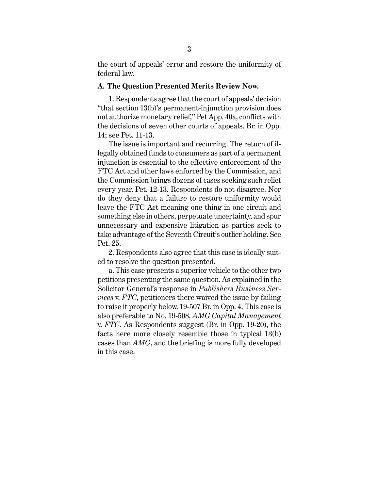the court of appeals' error and restore the uniformity of federal law.

### **A. The Question Presented Merits Review Now.**

1. Respondents agree that the court of appeals' decision "that section 13(b)'s permanent-injunction provision does not authorize monetary relief," Pet App. 40a, conflicts with the decisions of seven other courts of appeals. Br. in Opp. 14; see Pet. 11-13.

The issue is important and recurring. The return of illegally obtained funds to consumers as part of a permanent injunction is essential to the effective enforcement of the FTC Act and other laws enforced by the Commission, and the Commission brings dozens of cases seeking such relief every year. Pet. 12-13. Respondents do not disagree. Nor do they deny that a failure to restore uniformity would leave the FTC Act meaning one thing in one circuit and something else in others, perpetuate uncertainty, and spur unnecessary and expensive litigation as parties seek to take advantage of the Seventh Circuit's outlier holding. See Pet. 25.

2. Respondents also agree that this case is ideally suited to resolve the question presented.

a. This case presents a superior vehicle to the other two petitions presenting the same question. As explained in the Solicitor General's response in *Publishers Business Services* v. *FTC*, petitioners there waived the issue by failing to raise it properly below. 19-507 Br. in Opp. 4. This case is also preferable to No. 19-508, *AMG Capital Management*  v. *FTC*. As Respondents suggest (Br. in Opp. 19-20), the facts here more closely resemble those in typical 13(b) cases than *AMG*, and the briefing is more fully developed in this case.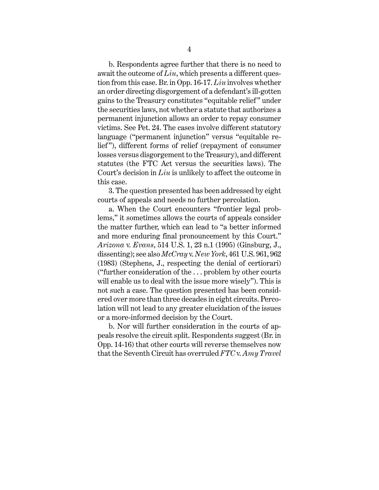b. Respondents agree further that there is no need to await the outcome of *Liu*, which presents a different question from this case. Br. in Opp. 16-17. *Liu* involves whether an order directing disgorgement of a defendant's ill-gotten gains to the Treasury constitutes "equitable relief " under the securities laws, not whether a statute that authorizes a permanent injunction allows an order to repay consumer victims. See Pet. 24. The cases involve different statutory language ("permanent injunction" versus "equitable relief "), different forms of relief (repayment of consumer losses versus disgorgement to the Treasury), and different statutes (the FTC Act versus the securities laws). The Court's decision in *Liu* is unlikely to affect the outcome in this case.

3. The question presented has been addressed by eight courts of appeals and needs no further percolation.

a. When the Court encounters "frontier legal problems," it sometimes allows the courts of appeals consider the matter further, which can lead to "a better informed and more enduring final pronouncement by this Court." *Arizona* v. *Evans*, 514 U.S. 1, 23 n.1 (1995) (Ginsburg, J., dissenting); see also *McCray* v. *New York*, 461 U.S. 961, 962 (1983) (Stephens, J., respecting the denial of certiorari) ("further consideration of the . . . problem by other courts will enable us to deal with the issue more wisely"). This is not such a case. The question presented has been considered over more than three decades in eight circuits. Percolation will not lead to any greater elucidation of the issues or a more-informed decision by the Court.

b. Nor will further consideration in the courts of appeals resolve the circuit split. Respondents suggest (Br. in Opp. 14-16) that other courts will reverse themselves now that the Seventh Circuit has overruled *FTC* v. *Amy Travel*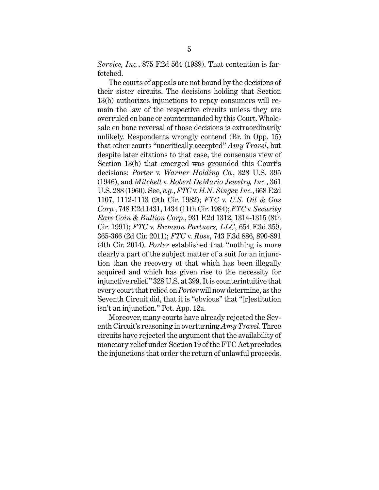*Service, Inc.*, 875 F.2d 564 (1989). That contention is farfetched.

The courts of appeals are not bound by the decisions of their sister circuits. The decisions holding that Section 13(b) authorizes injunctions to repay consumers will remain the law of the respective circuits unless they are overruled en banc or countermanded by this Court. Wholesale en banc reversal of those decisions is extraordinarily unlikely. Respondents wrongly contend (Br. in Opp. 15) that other courts "uncritically accepted" *Amy Travel*, but despite later citations to that case, the consensus view of Section 13(b) that emerged was grounded this Court's decisions: *Porter* v. *Warner Holding Co.*, 328 U.S. 395 (1946), and *Mitchell* v. *Robert DeMario Jewelry, Inc.*, 361 U.S. 288 (1960). See, *e.g.*, *FTC* v. *H.N. Singer, Inc.*, 668 F.2d 1107, 1112-1113 (9th Cir. 1982); *FTC* v. *U.S. Oil & Gas Corp.*, 748 F.2d 1431, 1434 (11th Cir. 1984); *FTC* v. *Security Rare Coin & Bullion Corp.*, 931 F.2d 1312, 1314-1315 (8th Cir. 1991); *FTC* v. *Bronson Partners, LLC*, 654 F.3d 359, 365-366 (2d Cir. 2011); *FTC* v. *Ross*, 743 F.3d 886, 890-891 (4th Cir. 2014). *Porter* established that "nothing is more clearly a part of the subject matter of a suit for an injunction than the recovery of that which has been illegally acquired and which has given rise to the necessity for injunctive relief." 328 U.S. at 399. It is counterintuitive that every court that relied on *Porter* will now determine, as the Seventh Circuit did, that it is "obvious" that "[r]estitution isn't an injunction." Pet. App. 12a.

Moreover, many courts have already rejected the Seventh Circuit's reasoning in overturning *Amy Travel*. Three circuits have rejected the argument that the availability of monetary relief under Section 19 of the FTC Act precludes the injunctions that order the return of unlawful proceeds.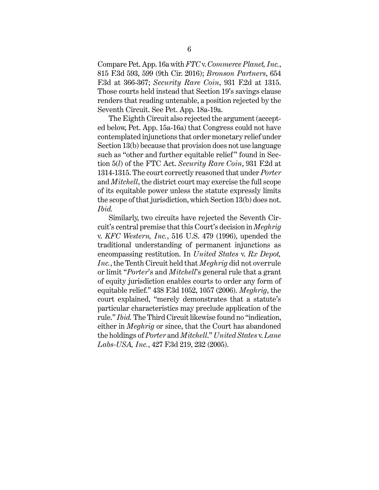Compare Pet. App. 16a with *FTC* v. *Commerce Planet, Inc.*, 815 F.3d 593, 599 (9th Cir. 2016); *Bronson Partners*, 654 F.3d at 366-367; *Security Rare Coin*, 931 F.2d at 1315. Those courts held instead that Section 19's savings clause renders that reading untenable, a position rejected by the Seventh Circuit. See Pet. App. 18a-19a.

The Eighth Circuit also rejected the argument (accepted below, Pet. App. 15a-16a) that Congress could not have contemplated injunctions that order monetary relief under Section 13(b) because that provision does not use language such as "other and further equitable relief" found in Section 5(*l*) of the FTC Act. *Security Rare Coin*, 931 F.2d at 1314-1315. The court correctly reasoned that under *Porter*  and *Mitchell*, the district court may exercise the full scope of its equitable power unless the statute expressly limits the scope of that jurisdiction, which Section 13(b) does not. *Ibid.*

Similarly, two circuits have rejected the Seventh Circuit's central premise that this Court's decision in *Meghrig*  v. *KFC Western, Inc.*, 516 U.S. 479 (1996), upended the traditional understanding of permanent injunctions as encompassing restitution. In *United States* v. *Rx Depot, Inc.*, the Tenth Circuit held that *Meghrig* did not overrule or limit "*Porter*'s and *Mitchell*'s general rule that a grant of equity jurisdiction enables courts to order any form of equitable relief." 438 F.3d 1052, 1057 (2006). *Meghrig*, the court explained, "merely demonstrates that a statute's particular characteristics may preclude application of the rule." *Ibid.* The Third Circuit likewise found no "indication, either in *Meghrig* or since, that the Court has abandoned the holdings of *Porter* and *Mitchell*." *United States* v. *Lane Labs-USA, Inc.*, 427 F.3d 219, 232 (2005).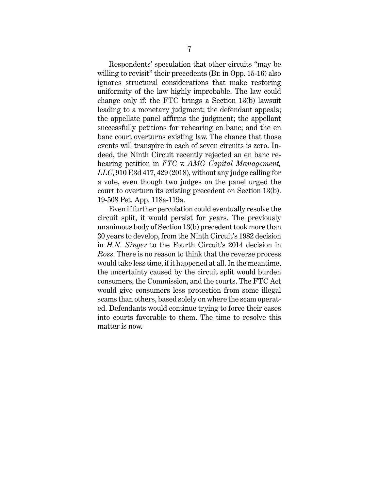Respondents' speculation that other circuits "may be willing to revisit" their precedents (Br. in Opp. 15-16) also ignores structural considerations that make restoring uniformity of the law highly improbable. The law could change only if: the FTC brings a Section 13(b) lawsuit leading to a monetary judgment; the defendant appeals; the appellate panel affirms the judgment; the appellant successfully petitions for rehearing en banc; and the en banc court overturns existing law. The chance that those events will transpire in each of seven circuits is zero. Indeed, the Ninth Circuit recently rejected an en banc rehearing petition in *FTC* v. *AMG Capital Management, LLC*, 910 F.3d 417, 429 (2018), without any judge calling for a vote, even though two judges on the panel urged the court to overturn its existing precedent on Section 13(b). 19-508 Pet. App. 118a-119a.

Even if further percolation could eventually resolve the circuit split, it would persist for years. The previously unanimous body of Section 13(b) precedent took more than 30 years to develop, from the Ninth Circuit's 1982 decision in *H.N. Singer* to the Fourth Circuit's 2014 decision in *Ross*. There is no reason to think that the reverse process would take less time, if it happened at all. In the meantime, the uncertainty caused by the circuit split would burden consumers, the Commission, and the courts. The FTC Act would give consumers less protection from some illegal scams than others, based solely on where the scam operated. Defendants would continue trying to force their cases into courts favorable to them. The time to resolve this matter is now.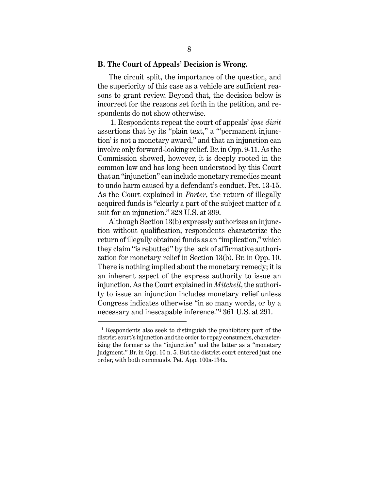#### **B. The Court of Appeals' Decision is Wrong.**

The circuit split, the importance of the question, and the superiority of this case as a vehicle are sufficient reasons to grant review. Beyond that, the decision below is incorrect for the reasons set forth in the petition, and respondents do not show otherwise.

 1. Respondents repeat the court of appeals' *ipse dixit* assertions that by its "plain text," a "'permanent injunction' is not a monetary award," and that an injunction can involve only forward-looking relief. Br. in Opp. 9-11. As the Commission showed, however, it is deeply rooted in the common law and has long been understood by this Court that an "injunction" can include monetary remedies meant to undo harm caused by a defendant's conduct. Pet. 13-15. As the Court explained in *Porter*, the return of illegally acquired funds is "clearly a part of the subject matter of a suit for an injunction." 328 U.S. at 399.

Although Section 13(b) expressly authorizes an injunction without qualification, respondents characterize the return of illegally obtained funds as an "implication," which they claim "is rebutted" by the lack of affirmative authorization for monetary relief in Section 13(b). Br. in Opp. 10. There is nothing implied about the monetary remedy; it is an inherent aspect of the express authority to issue an injunction. As the Court explained in *Mitchell*, the authority to issue an injunction includes monetary relief unless Congress indicates otherwise "in so many words, or by a necessary and inescapable inference."1 361 U.S. at 291.

 $\overline{a}$ 

<sup>1</sup> Respondents also seek to distinguish the prohibitory part of the district court's injunction and the order to repay consumers, characterizing the former as the "injunction" and the latter as a "monetary judgment." Br. in Opp. 10 n. 5. But the district court entered just one order, with both commands. Pet. App. 100a-134a.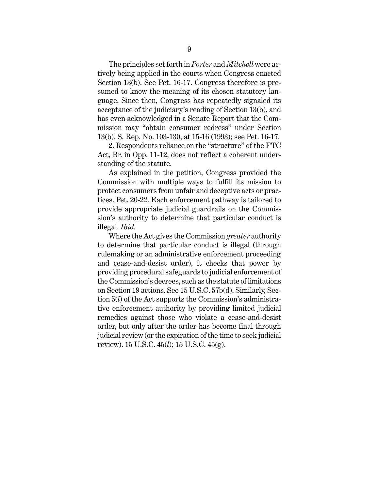The principles set forth in *Porter* and *Mitchell* were actively being applied in the courts when Congress enacted Section 13(b). See Pet. 16-17. Congress therefore is presumed to know the meaning of its chosen statutory language. Since then, Congress has repeatedly signaled its acceptance of the judiciary's reading of Section 13(b), and has even acknowledged in a Senate Report that the Commission may "obtain consumer redress" under Section 13(b). S. Rep. No. 103-130, at 15-16 (1993); see Pet. 16-17.

2. Respondents reliance on the "structure" of the FTC Act, Br. in Opp. 11-12, does not reflect a coherent understanding of the statute.

As explained in the petition, Congress provided the Commission with multiple ways to fulfill its mission to protect consumers from unfair and deceptive acts or practices. Pet. 20-22. Each enforcement pathway is tailored to provide appropriate judicial guardrails on the Commission's authority to determine that particular conduct is illegal. *Ibid.*

Where the Act gives the Commission *greater* authority to determine that particular conduct is illegal (through rulemaking or an administrative enforcement proceeding and cease-and-desist order), it checks that power by providing procedural safeguards to judicial enforcement of the Commission's decrees, such as the statute of limitations on Section 19 actions. See 15 U.S.C. 57b(d). Similarly, Section 5(*l*) of the Act supports the Commission's administrative enforcement authority by providing limited judicial remedies against those who violate a cease-and-desist order, but only after the order has become final through judicial review (or the expiration of the time to seek judicial review). 15 U.S.C. 45(*l*); 15 U.S.C. 45(g).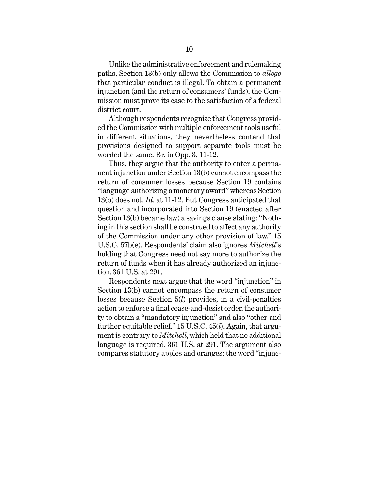Unlike the administrative enforcement and rulemaking paths, Section 13(b) only allows the Commission to *allege* that particular conduct is illegal. To obtain a permanent injunction (and the return of consumers' funds), the Commission must prove its case to the satisfaction of a federal district court.

Although respondents recognize that Congress provided the Commission with multiple enforcement tools useful in different situations, they nevertheless contend that provisions designed to support separate tools must be worded the same. Br. in Opp. 3, 11-12.

Thus, they argue that the authority to enter a permanent injunction under Section 13(b) cannot encompass the return of consumer losses because Section 19 contains "language authorizing a monetary award" whereas Section 13(b) does not. *Id.* at 11-12. But Congress anticipated that question and incorporated into Section 19 (enacted after Section 13(b) became law) a savings clause stating: "Nothing in this section shall be construed to affect any authority of the Commission under any other provision of law." 15 U.S.C. 57b(e). Respondents' claim also ignores *Mitchell*'s holding that Congress need not say more to authorize the return of funds when it has already authorized an injunction. 361 U.S. at 291.

Respondents next argue that the word "injunction" in Section 13(b) cannot encompass the return of consumer losses because Section 5(*l*) provides, in a civil-penalties action to enforce a final cease-and-desist order, the authority to obtain a "mandatory injunction" and also "other and further equitable relief." 15 U.S.C. 45(*l*). Again, that argument is contrary to *Mitchell*, which held that no additional language is required. 361 U.S. at 291. The argument also compares statutory apples and oranges: the word "injunc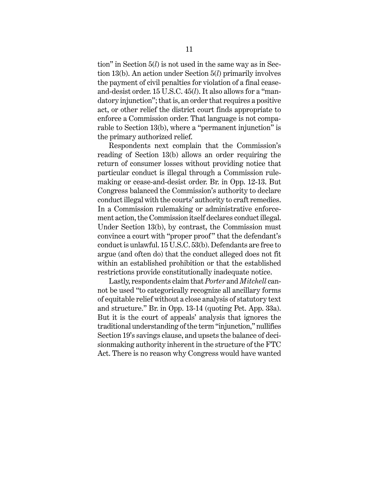tion" in Section 5(*l*) is not used in the same way as in Section 13(b). An action under Section 5(*l*) primarily involves the payment of civil penalties for violation of a final ceaseand-desist order. 15 U.S.C. 45(*l*). It also allows for a "mandatory injunction"; that is, an order that requires a positive act, or other relief the district court finds appropriate to enforce a Commission order. That language is not comparable to Section 13(b), where a "permanent injunction" is the primary authorized relief.

Respondents next complain that the Commission's reading of Section 13(b) allows an order requiring the return of consumer losses without providing notice that particular conduct is illegal through a Commission rulemaking or cease-and-desist order. Br. in Opp. 12-13. But Congress balanced the Commission's authority to declare conduct illegal with the courts' authority to craft remedies. In a Commission rulemaking or administrative enforcement action, the Commission itself declares conduct illegal. Under Section 13(b), by contrast, the Commission must convince a court with "proper proof" that the defendant's conduct is unlawful. 15 U.S.C. 53(b). Defendants are free to argue (and often do) that the conduct alleged does not fit within an established prohibition or that the established restrictions provide constitutionally inadequate notice.

Lastly, respondents claim that *Porter* and *Mitchell* cannot be used "to categorically recognize all ancillary forms of equitable relief without a close analysis of statutory text and structure." Br. in Opp. 13-14 (quoting Pet. App. 33a). But it is the court of appeals' analysis that ignores the traditional understanding of the term "injunction," nullifies Section 19's savings clause, and upsets the balance of decisionmaking authority inherent in the structure of the FTC Act. There is no reason why Congress would have wanted